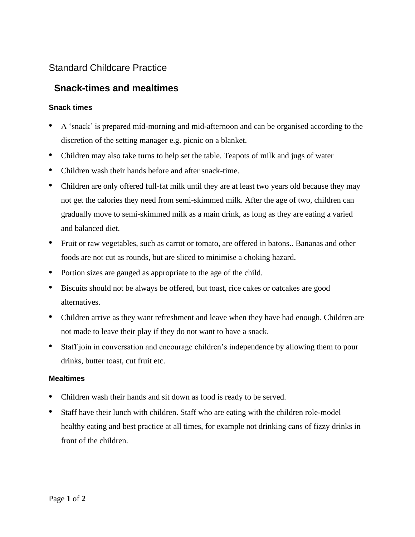## Standard Childcare Practice

## **Snack-times and mealtimes**

## **Snack times**

- A 'snack' is prepared mid-morning and mid-afternoon and can be organised according to the discretion of the setting manager e.g. picnic on a blanket.
- Children may also take turns to help set the table. Teapots of milk and jugs of water
- Children wash their hands before and after snack-time.
- Children are only offered full-fat milk until they are at least two years old because they may not get the calories they need from semi-skimmed milk. After the age of two, children can gradually move to semi-skimmed milk as a main drink, as long as they are eating a varied and balanced diet.
- Fruit or raw vegetables, such as carrot or tomato, are offered in batons.. Bananas and other foods are not cut as rounds, but are sliced to minimise a choking hazard.
- Portion sizes are gauged as appropriate to the age of the child.
- Biscuits should not be always be offered, but toast, rice cakes or oatcakes are good alternatives.
- Children arrive as they want refreshment and leave when they have had enough. Children are not made to leave their play if they do not want to have a snack.
- Staff join in conversation and encourage children's independence by allowing them to pour drinks, butter toast, cut fruit etc.

## **Mealtimes**

- Children wash their hands and sit down as food is ready to be served.
- Staff have their lunch with children. Staff who are eating with the children role-model healthy eating and best practice at all times, for example not drinking cans of fizzy drinks in front of the children.